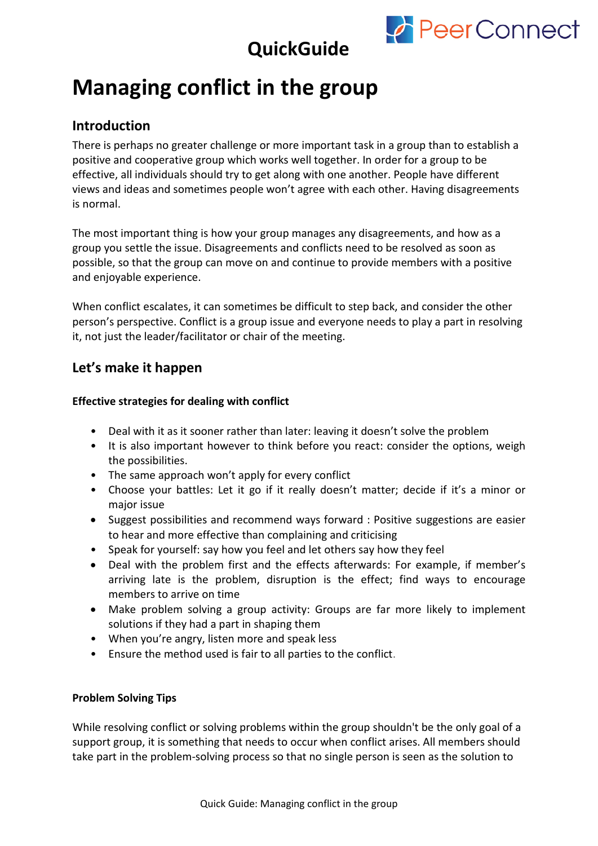

## **QuickGuide**

## **Managing conflict in the group**

### **Introduction**

There is perhaps no greater challenge or more important task in a group than to establish a positive and cooperative group which works well together. In order for a group to be effective, all individuals should try to get along with one another. People have different views and ideas and sometimes people won't agree with each other. Having disagreements is normal.

The most important thing is how your group manages any disagreements, and how as a group you settle the issue. Disagreements and conflicts need to be resolved as soon as possible, so that the group can move on and continue to provide members with a positive and enjoyable experience.

When conflict escalates, it can sometimes be difficult to step back, and consider the other person's perspective. Conflict is a group issue and everyone needs to play a part in resolving it, not just the leader/facilitator or chair of the meeting.

### **Let's make it happen**

#### **Effective strategies for dealing with conflict**

- Deal with it as it sooner rather than later: leaving it doesn't solve the problem
- It is also important however to think before you react: consider the options, weigh the possibilities.
- The same approach won't apply for every conflict
- Choose your battles: Let it go if it really doesn't matter; decide if it's a minor or major issue
- Suggest possibilities and recommend ways forward : Positive suggestions are easier to hear and more effective than complaining and criticising
- Speak for yourself: say how you feel and let others say how they feel
- Deal with the problem first and the effects afterwards: For example, if member's arriving late is the problem, disruption is the effect; find ways to encourage members to arrive on time
- Make problem solving a group activity: Groups are far more likely to implement solutions if they had a part in shaping them
- When you're angry, listen more and speak less
- Ensure the method used is fair to all parties to the conflict.

#### **Problem Solving Tips**

While resolving conflict or solving problems within the group shouldn't be the only goal of a support group, it is something that needs to occur when conflict arises. All members should take part in the problem-solving process so that no single person is seen as the solution to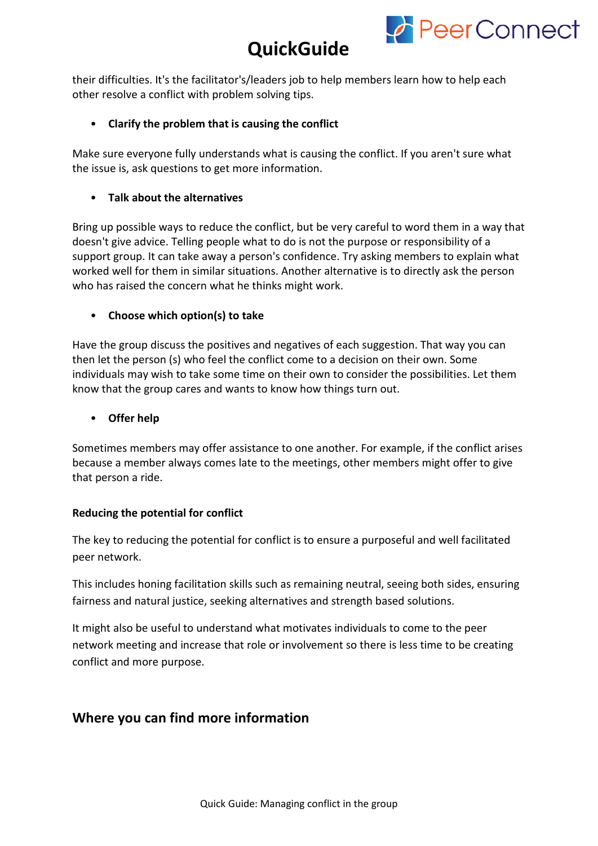

## **QuickGuide**

their difficulties. It's the facilitator's/leaders job to help members learn how to help each other resolve a conflict with problem solving tips.

#### • **Clarify the problem that is causing the conflict**

Make sure everyone fully understands what is causing the conflict. If you aren't sure what the issue is, ask questions to get more information.

#### • **Talk about the alternatives**

Bring up possible ways to reduce the conflict, but be very careful to word them in a way that doesn't give advice. Telling people what to do is not the purpose or responsibility of a support group. It can take away a person's confidence. Try asking members to explain what worked well for them in similar situations. Another alternative is to directly ask the person who has raised the concern what he thinks might work.

#### • **Choose which option(s) to take**

Have the group discuss the positives and negatives of each suggestion. That way you can then let the person (s) who feel the conflict come to a decision on their own. Some individuals may wish to take some time on their own to consider the possibilities. Let them know that the group cares and wants to know how things turn out.

#### • **Offer help**

Sometimes members may offer assistance to one another. For example, if the conflict arises because a member always comes late to the meetings, other members might offer to give that person a ride.

#### **Reducing the potential for conflict**

The key to reducing the potential for conflict is to ensure a purposeful and well facilitated peer network.

This includes honing facilitation skills such as remaining neutral, seeing both sides, ensuring fairness and natural justice, seeking alternatives and strength based solutions.

It might also be useful to understand what motivates individuals to come to the peer network meeting and increase that role or involvement so there is less time to be creating conflict and more purpose.

### **Where you can find more information**